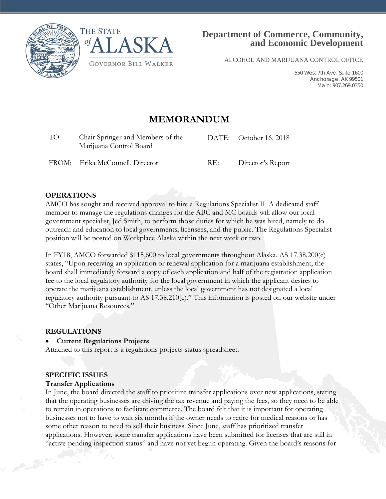



ALCOHOL AND MARIJUANA CONTROL OFFICE

550 West 7th Ave, Suite 1600 Anchorage, AK 99501 Main: 907.269.0350

# **MEMORANDUM**

| TO: | Chair Springer and Members of the<br>Marijuana Control Board |     | DATE: October 16, 2018 |
|-----|--------------------------------------------------------------|-----|------------------------|
|     | FROM: Erika McConnell, Director                              | RE: | Director's Report      |

## **OPERATIONS**

AMCO has sought and received approval to hire a Regulations Specialist II. A dedicated staff member to manage the regulations changes for the ABC and MC boards will allow our local government specialist, Jed Smith, to perform those duties for which he was hired, namely to do outreach and education to local governments, licensees, and the public. The Regulations Specialist position will be posted on Workplace Alaska within the next week or two.

In FY18, AMCO forwarded \$115,600 to local governments throughout Alaska. AS 17.38.200(c) states, "Upon receiving an application or renewal application for a marijuana establishment, the board shall immediately forward a copy of each application and half of the registration application fee to the local regulatory authority for the local government in which the applicant desires to operate the marijuana establishment, unless the local government has not designated a local regulatory authority pursuant to AS 17.38.210(c)." This information is posted on our website under "Other Marijuana Resources."

#### **REGULATIONS**

#### • **Current Regulations Projects**

Attached to this report is a regulations projects status spreadsheet.

# **SPECIFIC ISSUES**

#### **Transfer Applications**

In June, the board directed the staff to prioritize transfer applications over new applications, stating that the operating businesses are driving the tax revenue and paying the fees, so they need to be able to remain in operations to facilitate commerce. The board felt that it is important for operating businesses not to have to wait six months if the owner needs to retire for medical reasons or has some other reason to need to sell their business. Since June, staff has prioritized transfer applications. However, some transfer applications have been submitted for licenses that are still in "active-pending inspection status" and have not yet begun operating. Given the board's reasons for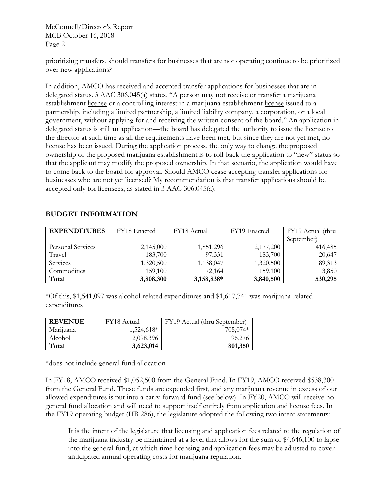McConnell/Director's Report MCB October 16, 2018 Page 2

prioritizing transfers, should transfers for businesses that are not operating continue to be prioritized over new applications?

In addition, AMCO has received and accepted transfer applications for businesses that are in delegated status. 3 AAC 306.045(a) states, "A person may not receive or transfer a marijuana establishment license or a controlling interest in a marijuana establishment license issued to a partnership, including a limited partnership, a limited liability company, a corporation, or a local government, without applying for and receiving the written consent of the board." An application in delegated status is still an application—the board has delegated the authority to issue the license to the director at such time as all the requirements have been met, but since they are not yet met, no license has been issued. During the application process, the only way to change the proposed ownership of the proposed marijuana establishment is to roll back the application to "new" status so that the applicant may modify the proposed ownership. In that scenario, the application would have to come back to the board for approval. Should AMCO cease accepting transfer applications for businesses who are not yet licensed? My recommendation is that transfer applications should be accepted only for licensees, as stated in 3 AAC 306.045(a).

| <b>EXPENDITURES</b><br>FY18 Enacted |           | FY18 Actual | FY19 Enacted | FY19 Actual (thru |  |
|-------------------------------------|-----------|-------------|--------------|-------------------|--|
|                                     |           |             |              | September)        |  |
| Personal Services                   | 2,145,000 | 1,851,296   | 2,177,200    | 416,485           |  |
| Travel                              | 183,700   | 97,331      | 183,700      | 20,647            |  |
| Services                            | 1,320,500 | 1,138,047   | 1,320,500    | 89,313            |  |
| Commodities                         | 159,100   | 72,164      | 159,100      | 3,850             |  |
| Total                               | 3,808,300 | 3,158,838*  | 3,840,500    | 530,295           |  |

# **BUDGET INFORMATION**

\*Of this, \$1,541,097 was alcohol-related expenditures and \$1,617,741 was marijuana-related expenditures

| <b>REVENUE</b> | FY18 Actual | FY19 Actual (thru September) |
|----------------|-------------|------------------------------|
| Marijuana      | 1,524,618*  | $705,074*$                   |
| Alcohol        | 2,098,396   | 96,276                       |
| Total          | 3,623,014   | 801,350                      |

\*does not include general fund allocation

In FY18, AMCO received \$1,052,500 from the General Fund. In FY19, AMCO received \$538,300 from the General Fund. These funds are expended first, and any marijuana revenue in excess of our allowed expenditures is put into a carry-forward fund (see below). In FY20, AMCO will receive no general fund allocation and will need to support itself entirely from application and license fees. In the FY19 operating budget (HB 286), the legislature adopted the following two intent statements:

It is the intent of the legislature that licensing and application fees related to the regulation of the marijuana industry be maintained at a level that allows for the sum of \$4,646,100 to lapse into the general fund, at which time licensing and application fees may be adjusted to cover anticipated annual operating costs for marijuana regulation.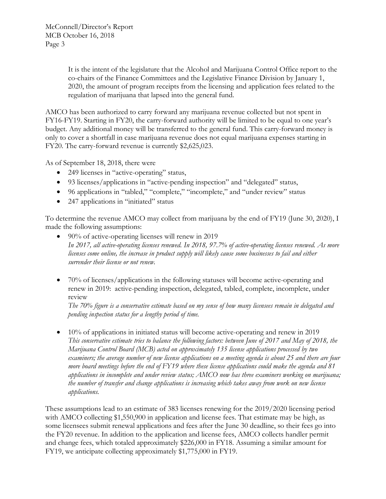It is the intent of the legislature that the Alcohol and Marijuana Control Office report to the co-chairs of the Finance Committees and the Legislative Finance Division by January 1, 2020, the amount of program receipts from the licensing and application fees related to the regulation of marijuana that lapsed into the general fund.

AMCO has been authorized to carry forward any marijuana revenue collected but not spent in FY16-FY19. Starting in FY20, the carry-forward authority will be limited to be equal to one year's budget. Any additional money will be transferred to the general fund. This carry-forward money is only to cover a shortfall in case marijuana revenue does not equal marijuana expenses starting in FY20. The carry-forward revenue is currently \$2,625,023.

As of September 18, 2018, there were

- 249 licenses in "active-operating" status,
- 93 licenses/applications in "active-pending inspection" and "delegated" status,
- 96 applications in "tabled," "complete," "incomplete," and "under review" status
- 247 applications in "initiated" status

To determine the revenue AMCO may collect from marijuana by the end of FY19 (June 30, 2020), I made the following assumptions:

- 90% of active-operating licenses will renew in 2019 *In 2017, all active-operating licenses renewed. In 2018, 97.7% of active-operating licenses renewed. As more licenses come online, the increase in product supply will likely cause some businesses to fail and either surrender their license or not renew.*
- 70% of licenses/applications in the following statuses will become active-operating and renew in 2019: active-pending inspection, delegated, tabled, complete, incomplete, under review

*The 70% figure is a conservative estimate based on my sense of how many licensees remain in delegated and pending inspection status for a lengthy period of time.*

• 10% of applications in initiated status will become active-operating and renew in 2019 *This conservative estimate tries to balance the following factors: between June of 2017 and May of 2018, the Marijuana Control Board (MCB) acted on approximately 135 license applications processed by two examiners; the average number of new license applications on a meeting agenda is about 25 and there are four more board meetings before the end of FY19 where these license applications could make the agenda and 81 applications in incomplete and under review status; AMCO now has three examiners working on marijuana; the number of transfer and change applications is increasing which takes away from work on new license applications.*

These assumptions lead to an estimate of 383 licenses renewing for the 2019/2020 licensing period with AMCO collecting \$1,550,900 in application and license fees. That estimate may be high, as some licensees submit renewal applications and fees after the June 30 deadline, so their fees go into the FY20 revenue. In addition to the application and license fees, AMCO collects handler permit and change fees, which totaled approximately \$226,000 in FY18. Assuming a similar amount for FY19, we anticipate collecting approximately \$1,775,000 in FY19.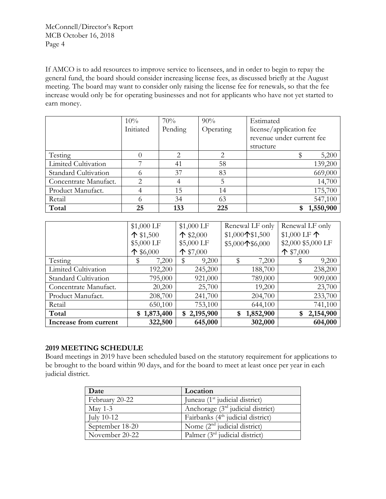If AMCO is to add resources to improve service to licensees, and in order to begin to repay the general fund, the board should consider increasing license fees, as discussed briefly at the August meeting. The board may want to consider only raising the license fee for renewals, so that the fee increase would only be for operating businesses and not for applicants who have not yet started to earn money.

|                       | 10%       | 70%     | 90%       | Estimated                 |
|-----------------------|-----------|---------|-----------|---------------------------|
|                       | Initiated | Pending | Operating | license/application fee   |
|                       |           |         |           | revenue under current fee |
|                       |           |         |           | structure                 |
| Testing               |           | 2       | 2         | 5,200                     |
| Limited Cultivation   |           | 41      | 58        | 139,200                   |
| Standard Cultivation  | O.        | 37      | 83        | 669,000                   |
| Concentrate Manufact. | 2         |         | 5         | 14,700                    |
| Product Manufact.     |           | 15      | 14        | 175,700                   |
| Retail                |           | 34      | 63        | 547,100                   |
| Total                 | 25        | 133     | 225       | 1,550,900                 |

|                       | \$1,000 LF         | \$1,000 LF         | Renewal LF only   | Renewal LF only       |  |
|-----------------------|--------------------|--------------------|-------------------|-----------------------|--|
|                       | $\uparrow$ \$1,500 | $\uparrow$ \$2,000 | $$1,000$ 1\$1,500 | \$1,000 LF $\uparrow$ |  |
|                       | \$5,000 LF         | \$5,000 LF         | \$5,000个\$6,000   | \$2,000 \$5,000 LF    |  |
|                       | $\uparrow$ \$6,000 | $\uparrow$ \$7,000 |                   | $\uparrow$ \$7,000    |  |
| Testing               | 7,200              | 9,200              | \$<br>7,200       | 9,200                 |  |
| Limited Cultivation   | 192,200            | 245,200            | 188,700           | 238,200               |  |
| Standard Cultivation  | 795,000            | 921,000            | 789,000           | 909,000               |  |
| Concentrate Manufact. | 20,200             | 25,700             | 19,200            | 23,700                |  |
| Product Manufact.     | 208,700            | 241,700            | 204,700           | 233,700               |  |
| Retail                | 650,100            | 753,100            | 644,100           | 741,100               |  |
| Total<br>\$1,873,400  |                    | \$2,195,900        | 1,852,900<br>\$   | 2,154,900<br>\$       |  |
| Increase from current | 322,500            | 645,000            | 302,000           | 604,000               |  |

# **2019 MEETING SCHEDULE**

Board meetings in 2019 have been scheduled based on the statutory requirement for applications to be brought to the board within 90 days, and for the board to meet at least once per year in each judicial district.

| Date            | Location                                      |
|-----------------|-----------------------------------------------|
| February 20-22  | Juneau (1 <sup>st</sup> judicial district)    |
| May 1-3         | Anchorage $(3rd)$ judicial district)          |
| July 10-12      | Fairbanks (4 <sup>th</sup> judicial district) |
| September 18-20 | Nome $(2nd$ judicial district)                |
| November 20-22  | Palmer $(3rd$ judicial district)              |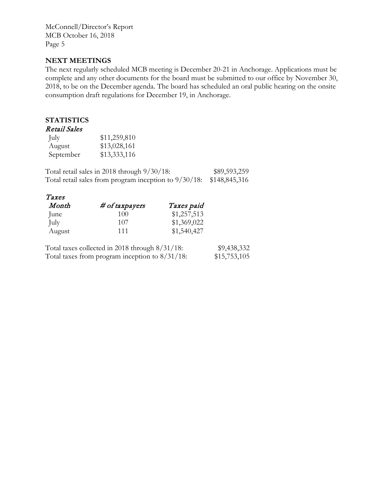McConnell/Director's Report MCB October 16, 2018 Page 5

## **NEXT MEETINGS**

The next regularly scheduled MCB meeting is December 20-21 in Anchorage. Applications must be complete and any other documents for the board must be submitted to our office by November 30, 2018, to be on the December agenda. The board has scheduled an oral public hearing on the onsite consumption draft regulations for December 19, in Anchorage.

# **STATISTICS**

# Retail Sales

| July      | \$11,259,810 |
|-----------|--------------|
| August    | \$13,028,161 |
| September | \$13,333,116 |

Total retail sales in 2018 through 9/30/18: \$89,593,259 Total retail sales from program inception to 9/30/18: \$148,845,316

| Taxes  |                  |             |
|--------|------------------|-------------|
| Month  | $# of$ taxpayers | Taxes paid  |
| June   | 100              | \$1,257,513 |
| July   | 107              | \$1,369,022 |
| August | 111              | \$1,540,427 |

| Total taxes collected in 2018 through $8/31/18$ : | \$9,438,332  |
|---------------------------------------------------|--------------|
| Total taxes from program inception to $8/31/18$ : | \$15,753,105 |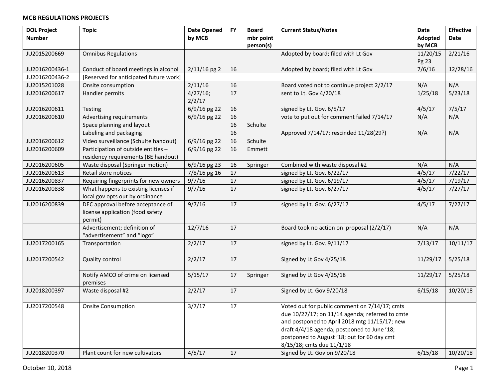## **MCB REGULATIONS PROJECTS**

| <b>DOL Project</b> | <b>Topic</b>                           | <b>Date Opened</b> | <b>FY</b> | <b>Board</b> | <b>Current Status/Notes</b>                     | Date     | <b>Effective</b> |
|--------------------|----------------------------------------|--------------------|-----------|--------------|-------------------------------------------------|----------|------------------|
| <b>Number</b>      |                                        | by MCB             |           | mbr point    |                                                 | Adopted  | Date             |
|                    |                                        |                    |           | person(s)    |                                                 | by MCB   |                  |
| JU2015200669       | <b>Omnibus Regulations</b>             |                    |           |              | Adopted by board; filed with Lt Gov             | 11/20/15 | 2/21/16          |
|                    |                                        |                    |           |              |                                                 | Pg 23    |                  |
| JU2016200436-1     | Conduct of board meetings in alcohol   | $2/11/16$ pg 2     | 16        |              | Adopted by board; filed with Lt Gov             | 7/6/16   | 12/28/16         |
| JU2016200436-2     | [Reserved for anticipated future work] |                    |           |              |                                                 |          |                  |
| JU2015201028       | Onsite consumption                     | 2/11/16            | 16        |              | Board voted not to continue project 2/2/17      | N/A      | N/A              |
| JU2016200617       | Handler permits                        | 4/27/16;           | 17        |              | sent to Lt. Gov 4/20/18                         | 1/25/18  | 5/23/18          |
|                    |                                        | 2/2/17             |           |              |                                                 |          |                  |
| JU2016200611       | Testing                                | 6/9/16 pg 22       | 16        |              | signed by Lt. Gov. 6/5/17                       | 4/5/17   | 7/5/17           |
| JU2016200610       | Advertising requirements               | $6/9/16$ pg 22     | 16        |              | vote to put out for comment failed 7/14/17      | N/A      | N/A              |
|                    | Space planning and layout              |                    | 16        | Schulte      |                                                 |          |                  |
|                    | Labeling and packaging                 |                    | 16        |              | Approved 7/14/17; rescinded 11/28(29?)          | N/A      | N/A              |
| JU2016200612       | Video surveillance (Schulte handout)   | 6/9/16 pg 22       | 16        | Schulte      |                                                 |          |                  |
| JU2016200609       | Participation of outside entities -    | 6/9/16 pg 22       | 16        | Emmett       |                                                 |          |                  |
|                    | residency requirements (BE handout)    |                    |           |              |                                                 |          |                  |
| JU2016200605       | Waste disposal (Springer motion)       | 6/9/16 pg 23       | 16        | Springer     | Combined with waste disposal #2                 | N/A      | N/A              |
| JU2016200613       | Retail store notices                   | 7/8/16 pg 16       | 17        |              | signed by Lt. Gov. 6/22/17                      | 4/5/17   | 7/22/17          |
| JU2016200837       | Requiring fingerprints for new owners  | 9/7/16             | 17        |              | signed by Lt. Gov. 6/19/17                      | 4/5/17   | 7/19/17          |
| JU2016200838       | What happens to existing licenses if   | 9/7/16             | 17        |              | signed by Lt. Gov. 6/27/17                      | 4/5/17   | 7/27/17          |
|                    | local gov opts out by ordinance        |                    |           |              |                                                 |          |                  |
| JU2016200839       | DEC approval before acceptance of      | 9/7/16             | 17        |              | signed by Lt. Gov. 6/27/17                      | 4/5/17   | 7/27/17          |
|                    | license application (food safety       |                    |           |              |                                                 |          |                  |
|                    | permit)                                |                    |           |              |                                                 |          |                  |
|                    | Advertisement; definition of           | 12/7/16            | 17        |              | Board took no action on proposal (2/2/17)       | N/A      | N/A              |
|                    | "advertisement" and "logo"             |                    |           |              |                                                 |          |                  |
| JU2017200165       | Transportation                         | 2/2/17             | 17        |              | signed by Lt. Gov. 9/11/17                      | 7/13/17  | 10/11/17         |
|                    |                                        |                    |           |              |                                                 |          |                  |
| JU2017200542       | Quality control                        | 2/2/17             | 17        |              | Signed by Lt Gov 4/25/18                        | 11/29/17 | 5/25/18          |
|                    |                                        |                    |           |              |                                                 |          |                  |
|                    | Notify AMCO of crime on licensed       | 5/15/17            | 17        | Springer     | Signed by Lt Gov 4/25/18                        | 11/29/17 | 5/25/18          |
|                    | premises                               |                    |           |              |                                                 |          |                  |
| JU2018200397       | Waste disposal #2                      | 2/2/17             | 17        |              | Signed by Lt. Gov 9/20/18                       | 6/15/18  | 10/20/18         |
|                    |                                        |                    |           |              |                                                 |          |                  |
| JU2017200548       | <b>Onsite Consumption</b>              | 3/7/17             | 17        |              | Voted out for public comment on 7/14/17; cmts   |          |                  |
|                    |                                        |                    |           |              | due 10/27/17; on 11/14 agenda; referred to cmte |          |                  |
|                    |                                        |                    |           |              | and postponed to April 2018 mtg 11/15/17; new   |          |                  |
|                    |                                        |                    |           |              | draft 4/4/18 agenda; postponed to June '18;     |          |                  |
|                    |                                        |                    |           |              | postponed to August '18; out for 60 day cmt     |          |                  |
|                    |                                        |                    |           |              | 8/15/18; cmts due 11/1/18                       |          |                  |
| JU2018200370       | Plant count for new cultivators        | 4/5/17             | 17        |              | Signed by Lt. Gov on 9/20/18                    | 6/15/18  | 10/20/18         |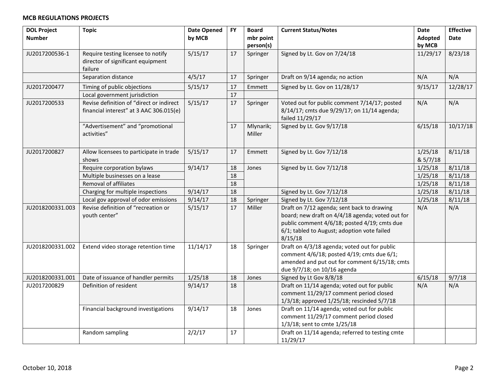# **MCB REGULATIONS PROJECTS**

| <b>DOL Project</b> | <b>Topic</b>                                                                        | <b>Date Opened</b> | <b>FY</b> | <b>Board</b>           | <b>Current Status/Notes</b>                                                                                                                                                                              | <b>Date</b>         | <b>Effective</b> |
|--------------------|-------------------------------------------------------------------------------------|--------------------|-----------|------------------------|----------------------------------------------------------------------------------------------------------------------------------------------------------------------------------------------------------|---------------------|------------------|
| <b>Number</b>      |                                                                                     | by MCB             |           | mbr point<br>person(s) |                                                                                                                                                                                                          | Adopted<br>by MCB   | Date             |
| JU2017200536-1     | Require testing licensee to notify<br>director of significant equipment<br>failure  | 5/15/17            | 17        | Springer               | Signed by Lt. Gov on 7/24/18                                                                                                                                                                             | 11/29/17            | 8/23/18          |
|                    | Separation distance                                                                 | 4/5/17             | 17        | Springer               | Draft on 9/14 agenda; no action                                                                                                                                                                          | N/A                 | N/A              |
| JU2017200477       | Timing of public objections                                                         | 5/15/17            | 17        | Emmett                 | Signed by Lt. Gov on 11/28/17                                                                                                                                                                            | 9/15/17             | 12/28/17         |
|                    | Local government jurisdiction                                                       |                    | 17        |                        |                                                                                                                                                                                                          |                     |                  |
| JU2017200533       | Revise definition of "direct or indirect<br>financial interest" at 3 AAC 306.015(e) | 5/15/17            | 17        | Springer               | Voted out for public comment 7/14/17; posted<br>8/14/17; cmts due 9/29/17; on 11/14 agenda;<br>failed 11/29/17                                                                                           | N/A                 | N/A              |
|                    | "Advertisement" and "promotional<br>activities"                                     |                    | 17        | Mlynarik;<br>Miller    | Signed by Lt. Gov 9/17/18                                                                                                                                                                                | 6/15/18             | 10/17/18         |
| JU2017200827       | Allow licensees to participate in trade<br>shows                                    | 5/15/17            | 17        | Emmett                 | Signed by Lt. Gov 7/12/18                                                                                                                                                                                | 1/25/18<br>& 5/7/18 | 8/11/18          |
|                    | Require corporation bylaws                                                          | 9/14/17            | 18        | Jones                  | Signed by Lt. Gov 7/12/18                                                                                                                                                                                | 1/25/18             | 8/11/18          |
|                    | Multiple businesses on a lease                                                      |                    | 18        |                        |                                                                                                                                                                                                          | 1/25/18             | 8/11/18          |
|                    | Removal of affiliates                                                               |                    | 18        |                        |                                                                                                                                                                                                          | 1/25/18             | 8/11/18          |
|                    | Charging for multiple inspections                                                   | 9/14/17            | 18        |                        | Signed by Lt. Gov 7/12/18                                                                                                                                                                                | 1/25/18             | 8/11/18          |
|                    | Local gov approval of odor emissions                                                | 9/14/17            | 18        | Springer               | Signed by Lt. Gov 7/12/18                                                                                                                                                                                | 1/25/18             | 8/11/18          |
| JU2018200331.003   | Revise definition of "recreation or<br>youth center"                                | 5/15/17            | 17        | Miller                 | Draft on 7/12 agenda; sent back to drawing<br>board; new draft on 4/4/18 agenda; voted out for<br>public comment 4/6/18; posted 4/19; cmts due<br>6/1; tabled to August; adoption vote failed<br>8/15/18 | N/A                 | N/A              |
| JU2018200331.002   | Extend video storage retention time                                                 | 11/14/17           | 18        | Springer               | Draft on 4/3/18 agenda; voted out for public<br>comment 4/6/18; posted 4/19; cmts due 6/1;<br>amended and put out for comment 6/15/18; cmts<br>due 9/7/18; on 10/16 agenda                               |                     |                  |
| JU2018200331.001   | Date of issuance of handler permits                                                 | 1/25/18            | 18        | Jones                  | Signed by Lt Gov 8/8/18                                                                                                                                                                                  | 6/15/18             | 9/7/18           |
| JU2017200829       | Definition of resident                                                              | 9/14/17            | 18        |                        | Draft on 11/14 agenda; voted out for public<br>comment 11/29/17 comment period closed<br>1/3/18; approved 1/25/18; rescinded 5/7/18                                                                      | N/A                 | N/A              |
|                    | Financial background investigations                                                 | 9/14/17            | 18        | Jones                  | Draft on 11/14 agenda; voted out for public<br>comment 11/29/17 comment period closed<br>1/3/18; sent to cmte 1/25/18                                                                                    |                     |                  |
|                    | Random sampling                                                                     | 2/2/17             | 17        |                        | Draft on 11/14 agenda; referred to testing cmte<br>11/29/17                                                                                                                                              |                     |                  |